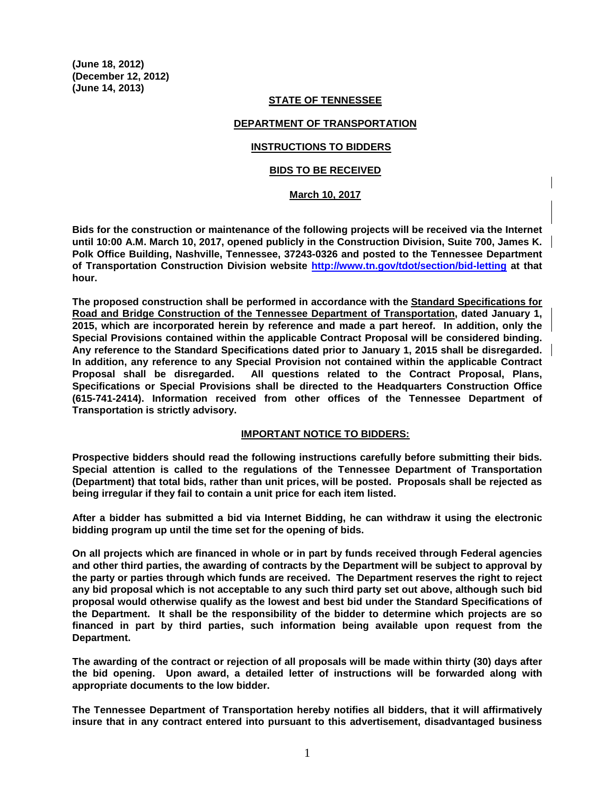**(June 18, 2012) (December 12, 2012) (June 14, 2013)**

#### **STATE OF TENNESSEE**

#### **DEPARTMENT OF TRANSPORTATION**

#### **INSTRUCTIONS TO BIDDERS**

## **BIDS TO BE RECEIVED**

#### **March 10, 2017**

**Bids for the construction or maintenance of the following projects will be received via the Internet until 10:00 A.M. March 10, 2017, opened publicly in the Construction Division, Suite 700, James K. Polk Office Building, Nashville, Tennessee, 37243-0326 and posted to the Tennessee Department of Transportation Construction Division website<http://www.tn.gov/tdot/section/bid-letting> at that hour.**

**The proposed construction shall be performed in accordance with the Standard Specifications for Road and Bridge Construction of the Tennessee Department of Transportation, dated January 1, 2015, which are incorporated herein by reference and made a part hereof. In addition, only the Special Provisions contained within the applicable Contract Proposal will be considered binding. Any reference to the Standard Specifications dated prior to January 1, 2015 shall be disregarded. In addition, any reference to any Special Provision not contained within the applicable Contract Proposal shall be disregarded. All questions related to the Contract Proposal, Plans, Specifications or Special Provisions shall be directed to the Headquarters Construction Office (615-741-2414). Information received from other offices of the Tennessee Department of Transportation is strictly advisory.**

#### **IMPORTANT NOTICE TO BIDDERS:**

**Prospective bidders should read the following instructions carefully before submitting their bids. Special attention is called to the regulations of the Tennessee Department of Transportation (Department) that total bids, rather than unit prices, will be posted. Proposals shall be rejected as being irregular if they fail to contain a unit price for each item listed.**

**After a bidder has submitted a bid via Internet Bidding, he can withdraw it using the electronic bidding program up until the time set for the opening of bids.**

**On all projects which are financed in whole or in part by funds received through Federal agencies and other third parties, the awarding of contracts by the Department will be subject to approval by the party or parties through which funds are received. The Department reserves the right to reject any bid proposal which is not acceptable to any such third party set out above, although such bid proposal would otherwise qualify as the lowest and best bid under the Standard Specifications of the Department. It shall be the responsibility of the bidder to determine which projects are so financed in part by third parties, such information being available upon request from the Department.**

**The awarding of the contract or rejection of all proposals will be made within thirty (30) days after the bid opening. Upon award, a detailed letter of instructions will be forwarded along with appropriate documents to the low bidder.**

**The Tennessee Department of Transportation hereby notifies all bidders, that it will affirmatively insure that in any contract entered into pursuant to this advertisement, disadvantaged business**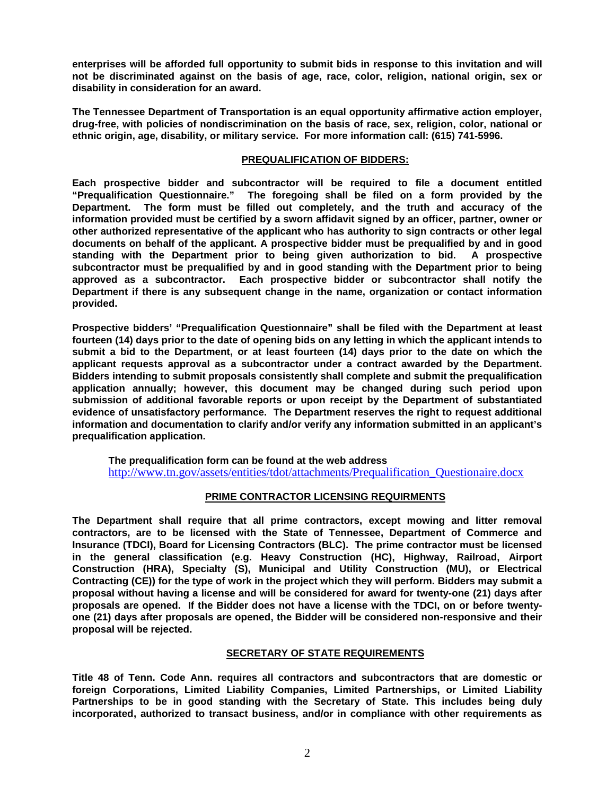**enterprises will be afforded full opportunity to submit bids in response to this invitation and will not be discriminated against on the basis of age, race, color, religion, national origin, sex or disability in consideration for an award.**

**The Tennessee Department of Transportation is an equal opportunity affirmative action employer, drug-free, with policies of nondiscrimination on the basis of race, sex, religion, color, national or ethnic origin, age, disability, or military service. For more information call: (615) 741-5996.**

# **PREQUALIFICATION OF BIDDERS:**

**Each prospective bidder and subcontractor will be required to file a document entitled "Prequalification Questionnaire." The foregoing shall be filed on a form provided by the Department. The form must be filled out completely, and the truth and accuracy of the information provided must be certified by a sworn affidavit signed by an officer, partner, owner or other authorized representative of the applicant who has authority to sign contracts or other legal documents on behalf of the applicant. A prospective bidder must be prequalified by and in good standing with the Department prior to being given authorization to bid. A prospective subcontractor must be prequalified by and in good standing with the Department prior to being approved as a subcontractor. Each prospective bidder or subcontractor shall notify the Department if there is any subsequent change in the name, organization or contact information provided.**

**Prospective bidders' "Prequalification Questionnaire" shall be filed with the Department at least fourteen (14) days prior to the date of opening bids on any letting in which the applicant intends to submit a bid to the Department, or at least fourteen (14) days prior to the date on which the applicant requests approval as a subcontractor under a contract awarded by the Department. Bidders intending to submit proposals consistently shall complete and submit the prequalification application annually; however, this document may be changed during such period upon submission of additional favorable reports or upon receipt by the Department of substantiated evidence of unsatisfactory performance. The Department reserves the right to request additional information and documentation to clarify and/or verify any information submitted in an applicant's prequalification application.**

**The prequalification form can be found at the web address**  [http://www.tn.gov/assets/entities/tdot/attachments/Prequalification\\_Questionaire.docx](http://www.tn.gov/assets/entities/tdot/attachments/Prequalification_Questionaire.docx)

# **PRIME CONTRACTOR LICENSING REQUIRMENTS**

**The Department shall require that all prime contractors, except mowing and litter removal contractors, are to be licensed with the State of Tennessee, Department of Commerce and Insurance (TDCI), Board for Licensing Contractors (BLC). The prime contractor must be licensed in the general classification (e.g. Heavy Construction (HC), Highway, Railroad, Airport Construction (HRA), Specialty (S), Municipal and Utility Construction (MU), or Electrical Contracting (CE)) for the type of work in the project which they will perform. Bidders may submit a proposal without having a license and will be considered for award for twenty-one (21) days after proposals are opened. If the Bidder does not have a license with the TDCI, on or before twentyone (21) days after proposals are opened, the Bidder will be considered non-responsive and their proposal will be rejected.** 

## **SECRETARY OF STATE REQUIREMENTS**

**Title 48 of Tenn. Code Ann. requires all contractors and subcontractors that are domestic or foreign Corporations, Limited Liability Companies, Limited Partnerships, or Limited Liability Partnerships to be in good standing with the Secretary of State. This includes being duly incorporated, authorized to transact business, and/or in compliance with other requirements as**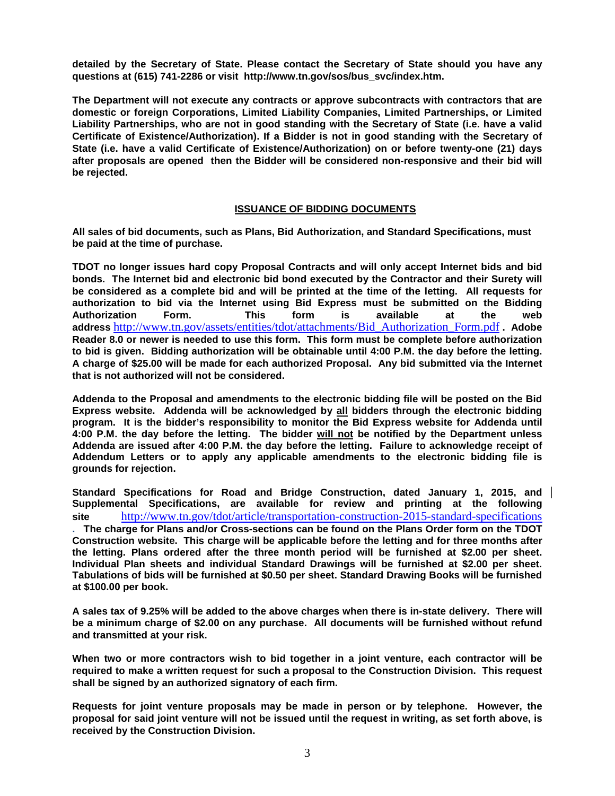**detailed by the Secretary of State. Please contact the Secretary of State should you have any questions at (615) 741-2286 or visit http://www.tn.gov/sos/bus\_svc/index.htm.**

**The Department will not execute any contracts or approve subcontracts with contractors that are domestic or foreign Corporations, Limited Liability Companies, Limited Partnerships, or Limited Liability Partnerships, who are not in good standing with the Secretary of State (i.e. have a valid Certificate of Existence/Authorization). If a Bidder is not in good standing with the Secretary of State (i.e. have a valid Certificate of Existence/Authorization) on or before twenty-one (21) days after proposals are opened then the Bidder will be considered non-responsive and their bid will be rejected.** 

## **ISSUANCE OF BIDDING DOCUMENTS**

**All sales of bid documents, such as Plans, Bid Authorization, and Standard Specifications, must be paid at the time of purchase.**

**TDOT no longer issues hard copy Proposal Contracts and will only accept Internet bids and bid bonds. The Internet bid and electronic bid bond executed by the Contractor and their Surety will be considered as a complete bid and will be printed at the time of the letting. All requests for authorization to bid via the Internet using Bid Express must be submitted on the Bidding Authorization Form. This form is available at the web address** [http://www.tn.gov/assets/entities/tdot/attachments/Bid\\_Authorization\\_Form.pdf](http://www.tn.gov/assets/entities/tdot/attachments/Bid_Authorization_Form.pdf) **. Adobe Reader 8.0 or newer is needed to use this form. This form must be complete before authorization to bid is given. Bidding authorization will be obtainable until 4:00 P.M. the day before the letting. A charge of \$25.00 will be made for each authorized Proposal. Any bid submitted via the Internet that is not authorized will not be considered.** 

**Addenda to the Proposal and amendments to the electronic bidding file will be posted on the Bid Express website. Addenda will be acknowledged by all bidders through the electronic bidding program. It is the bidder's responsibility to monitor the Bid Express website for Addenda until 4:00 P.M. the day before the letting. The bidder will not be notified by the Department unless Addenda are issued after 4:00 P.M. the day before the letting. Failure to acknowledge receipt of Addendum Letters or to apply any applicable amendments to the electronic bidding file is grounds for rejection.**

**Standard Specifications for Road and Bridge Construction, dated January 1, 2015, and Supplemental Specifications, are available for review and printing at the following site** <http://www.tn.gov/tdot/article/transportation-construction-2015-standard-specifications> **. The charge for Plans and/or Cross-sections can be found on the Plans Order form on the TDOT Construction website. This charge will be applicable before the letting and for three months after the letting. Plans ordered after the three month period will be furnished at \$2.00 per sheet. Individual Plan sheets and individual Standard Drawings will be furnished at \$2.00 per sheet. Tabulations of bids will be furnished at \$0.50 per sheet. Standard Drawing Books will be furnished at \$100.00 per book.** 

**A sales tax of 9.25% will be added to the above charges when there is in-state delivery. There will be a minimum charge of \$2.00 on any purchase. All documents will be furnished without refund and transmitted at your risk.**

**When two or more contractors wish to bid together in a joint venture, each contractor will be required to make a written request for such a proposal to the Construction Division. This request shall be signed by an authorized signatory of each firm.**

**Requests for joint venture proposals may be made in person or by telephone. However, the proposal for said joint venture will not be issued until the request in writing, as set forth above, is received by the Construction Division.**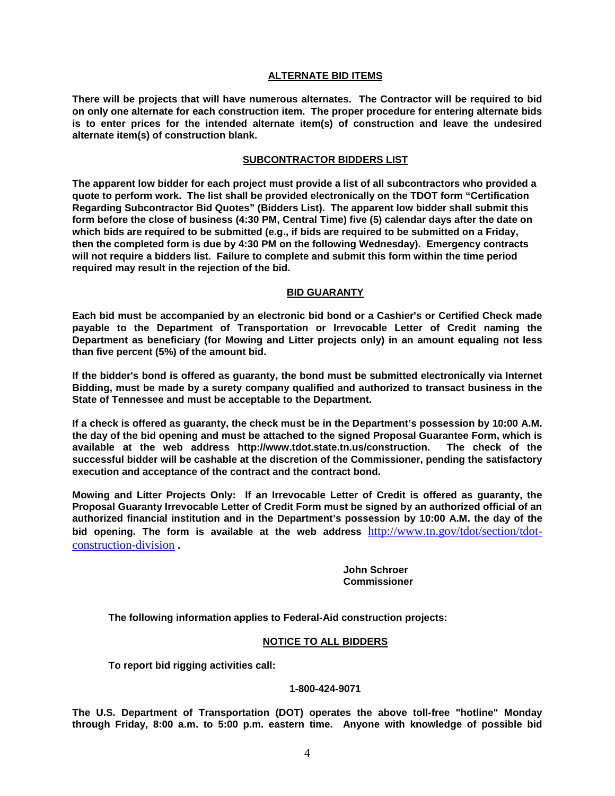## **ALTERNATE BID ITEMS**

**There will be projects that will have numerous alternates. The Contractor will be required to bid on only one alternate for each construction item. The proper procedure for entering alternate bids is to enter prices for the intended alternate item(s) of construction and leave the undesired alternate item(s) of construction blank.** 

### **SUBCONTRACTOR BIDDERS LIST**

**The apparent low bidder for each project must provide a list of all subcontractors who provided a quote to perform work. The list shall be provided electronically on the TDOT form "Certification Regarding Subcontractor Bid Quotes" (Bidders List). The apparent low bidder shall submit this form before the close of business (4:30 PM, Central Time) five (5) calendar days after the date on which bids are required to be submitted (e.g., if bids are required to be submitted on a Friday, then the completed form is due by 4:30 PM on the following Wednesday). Emergency contracts will not require a bidders list. Failure to complete and submit this form within the time period required may result in the rejection of the bid.** 

#### **BID GUARANTY**

**Each bid must be accompanied by an electronic bid bond or a Cashier's or Certified Check made payable to the Department of Transportation or Irrevocable Letter of Credit naming the Department as beneficiary (for Mowing and Litter projects only) in an amount equaling not less than five percent (5%) of the amount bid.**

**If the bidder's bond is offered as guaranty, the bond must be submitted electronically via Internet Bidding, must be made by a surety company qualified and authorized to transact business in the State of Tennessee and must be acceptable to the Department.**

**If a check is offered as guaranty, the check must be in the Department's possession by 10:00 A.M. the day of the bid opening and must be attached to the signed Proposal Guarantee Form, which is available at the web address http://www.tdot.state.tn.us/construction. The check of the successful bidder will be cashable at the discretion of the Commissioner, pending the satisfactory execution and acceptance of the contract and the contract bond.**

**Mowing and Litter Projects Only: If an Irrevocable Letter of Credit is offered as guaranty, the Proposal Guaranty Irrevocable Letter of Credit Form must be signed by an authorized official of an authorized financial institution and in the Department's possession by 10:00 A.M. the day of the bid opening. The form is available at the web address** [http://www.tn.gov/tdot/section/tdot](http://www.tn.gov/tdot/section/tdot-construction-division)[construction-division](http://www.tn.gov/tdot/section/tdot-construction-division) **.**

> **John Schroer Commissioner**

**The following information applies to Federal-Aid construction projects:**

## **NOTICE TO ALL BIDDERS**

**To report bid rigging activities call:**

#### **1-800-424-9071**

**The U.S. Department of Transportation (DOT) operates the above toll-free "hotline" Monday through Friday, 8:00 a.m. to 5:00 p.m. eastern time. Anyone with knowledge of possible bid**